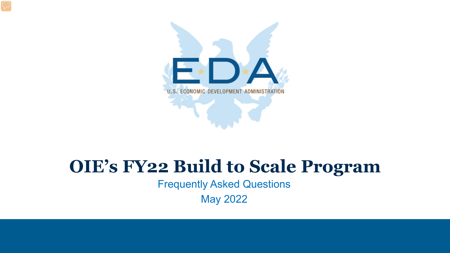

#### **OIE's FY22 Build to Scale Program**

Frequently Asked Questions

May 2022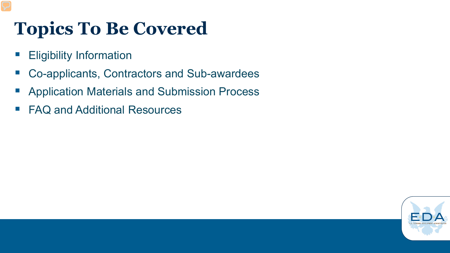# **Topics To Be Covered**

- **Eligibility Information**
- Co-applicants, Contractors and Sub-awardees
- **Application Materials and Submission Process**
- FAQ and Additional Resources

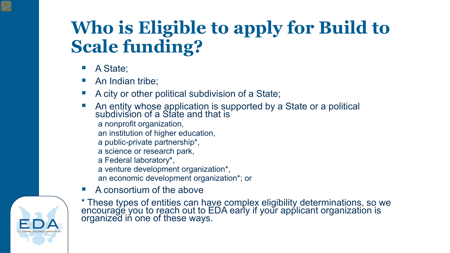# **Who is Eligible to apply for Build to Scale funding?**

- A State;
- An Indian tribe;
- A city or other political subdivision of a State;
- An entity whose application is supported by a State or a political subdivision of a State and that is
	- a nonprofit organization,
	- an institution of higher education,
	- a public-private partnership\*,
	- a science or research park,
	- a Federal laboratory\*,
	- a venture development organization\*,
	- an economic development organization\*; or
- A consortium of the above



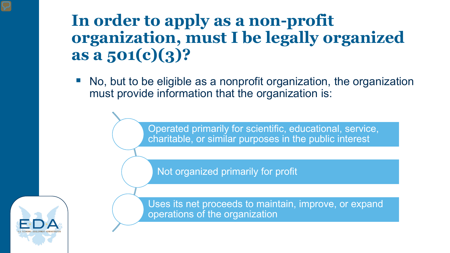#### **In order to apply as a non-profit organization, must I be legally organized as a 501(c)(3)?**

 No, but to be eligible as a nonprofit organization, the organization must provide information that the organization is:

> Operated primarily for scientific, educational, service, charitable, or similar purposes in the public interest

Not organized primarily for profit



Uses its net proceeds to maintain, improve, or expand operations of the organization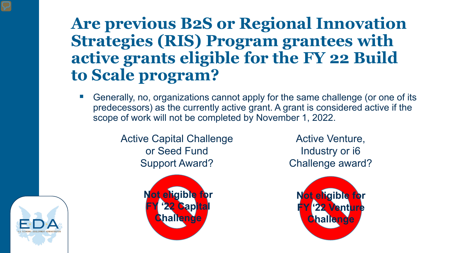#### **Are previous B2S or Regional Innovation Strategies (RIS) Program grantees with active grants eligible for the FY 22 Build to Scale program?**

 Generally, no, organizations cannot apply for the same challenge (or one of its predecessors) as the currently active grant. A grant is considered active if the scope of work will not be completed by November 1, 2022.

> Active Capital Challenge or Seed Fund Support Award?



Active Venture, Industry or i6 Challenge award?



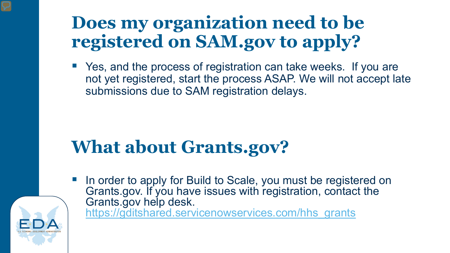## **Does my organization need to be registered on SAM.gov to apply?**

■ Yes, and the process of registration can take weeks. If you are not yet registered, start the process ASAP. We will not accept late submissions due to SAM registration delays.

## **What about Grants.gov?**

In order to apply for Build to Scale, you must be registered on Grants.gov. If you have issues with registration, contact the Grants.gov help desk. [https://gditshared.servicenowservices.com/hhs\\_grants](https://gditshared.servicenowservices.com/hhs_grants)

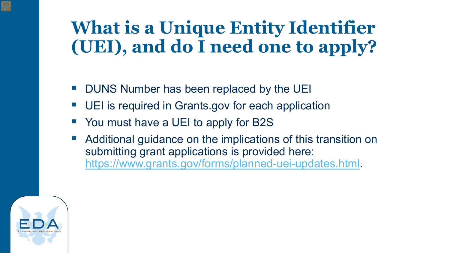## **What is a Unique Entity Identifier (UEI), and do I need one to apply?**

- DUNS Number has been replaced by the UEI
- UEI is required in Grants.gov for each application
- You must have a UEI to apply for B2S
- Additional guidance on the implications of this transition on submitting grant applications is provided here: [https://www.grants.gov/forms/planned-uei-updates.html.](https://www.grants.gov/forms/planned-uei-updates.html)

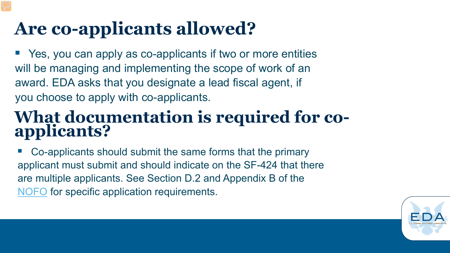# **Are co-applicants allowed?**

■ Yes, you can apply as co-applicants if two or more entities will be managing and implementing the scope of work of an award. EDA asks that you designate a lead fiscal agent, if you choose to apply with co-applicants.

# **What documentation is required for co- applicants?**

 Co-applicants should submit the same forms that the primary applicant must submit and should indicate on the SF-424 that there are multiple applicants. See Section D.2 and Appendix B of the [NOFO](https://www.grants.gov/web/grants/view-opportunity.html?oppId=339481) for specific application requirements.

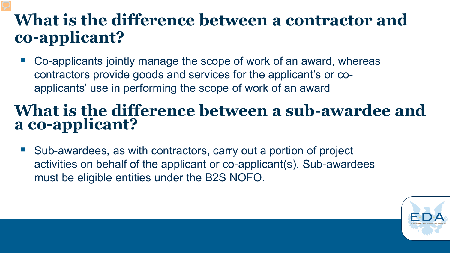#### **What is the difference between a contractor and co-applicant?**

■ Co-applicants jointly manage the scope of work of an award, whereas contractors provide goods and services for the applicant's or coapplicants' use in performing the scope of work of an award

#### **What is the difference between a sub-awardee and a co-applicant?**

■ Sub-awardees, as with contractors, carry out a portion of project activities on behalf of the applicant or co-applicant(s). Sub-awardees must be eligible entities under the B2S NOFO.

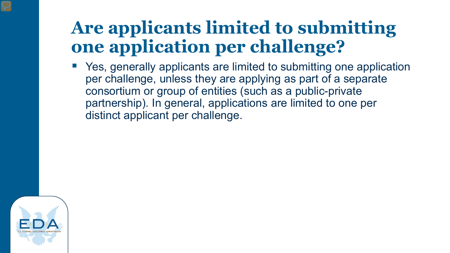## **Are applicants limited to submitting one application per challenge?**

 Yes, generally applicants are limited to submitting one application per challenge, unless they are applying as part of a separate consortium or group of entities (such as a public-private partnership). In general, applications are limited to one per distinct applicant per challenge.

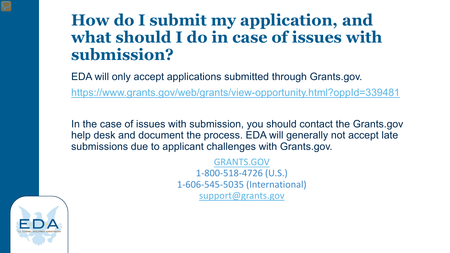#### **How do I submit my application, and what should I do in case of issues with submission?**

EDA will only accept applications submitted through Grants.gov. <https://www.grants.gov/web/grants/view-opportunity.html?oppId=339481>

In the case of issues with submission, you should contact the Grants.gov help desk and document the process. EDA will generally not accept late submissions due to applicant challenges with Grants.gov.

> [GRANTS.GOV](https://grants.gov/) 1-800-518-4726 (U.S.) 1-606-545-5035 (International) [support@grants.gov](mailto:support@grants.gov)